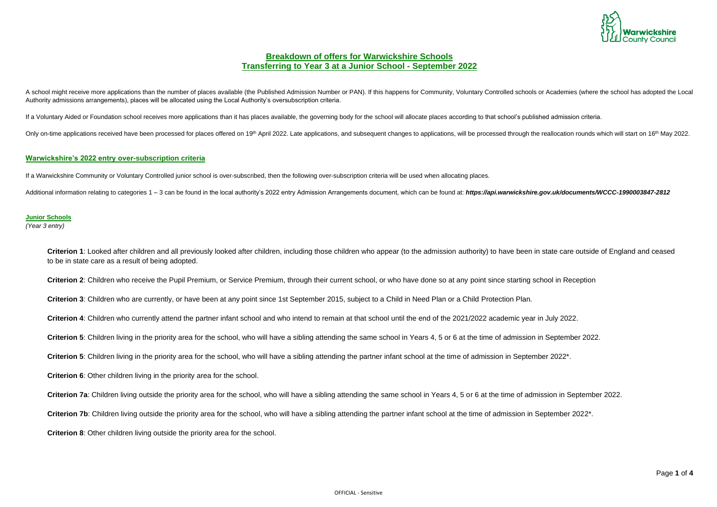Page **1** of **4**



# **Breakdown of offers for Warwickshire Schools Transferring to Year 3 at a Junior School - September 2022**

A school might receive more applications than the number of places available (the Published Admission Number or PAN). If this happens for Community, Voluntary Controlled schools or Academies (where the school has adopted t Authority admissions arrangements), places will be allocated using the Local Authority's oversubscription criteria.

If a Voluntary Aided or Foundation school receives more applications than it has places available, the governing body for the school will allocate places according to that school's published admission criteria.

Only on-time applications received have been processed for places offered on 19<sup>th</sup> April 2022. Late applications, and subsequent changes to applications, will be processed through the reallocation rounds which will start

**Criterion 1**: Looked after children and all previously looked after children, including those children who appear (to the admission authority) to have been in state care outside of England and ceased to be in state care as a result of being adopted.

### **Warwickshire's 2022 entry over-subscription criteria**

If a Warwickshire Community or Voluntary Controlled junior school is over-subscribed, then the following over-subscription criteria will be used when allocating places.

Additional information relating to categories 1 - 3 can be found in the local authority's 2022 entry Admission Arrangements document, which can be found at: https://api.warwickshire.gov.uk/documents/WCCC-1990003847-2812

### **Junior Schools**

*(Year 3 entry)*

**Criterion 2**: Children who receive the Pupil Premium, or Service Premium, through their current school, or who have done so at any point since starting school in Reception

**Criterion 3**: Children who are currently, or have been at any point since 1st September 2015, subject to a Child in Need Plan or a Child Protection Plan.

**Criterion 4**: Children who currently attend the partner infant school and who intend to remain at that school until the end of the 2021/2022 academic year in July 2022.

**Criterion 5**: Children living in the priority area for the school, who will have a sibling attending the same school in Years 4, 5 or 6 at the time of admission in September 2022.

**Criterion 5**: Children living in the priority area for the school, who will have a sibling attending the partner infant school at the time of admission in September 2022\*.

**Criterion 6**: Other children living in the priority area for the school.

**Criterion 7a**: Children living outside the priority area for the school, who will have a sibling attending the same school in Years 4, 5 or 6 at the time of admission in September 2022.

Criterion 7b: Children living outside the priority area for the school, who will have a sibling attending the partner infant school at the time of admission in September 2022<sup>\*</sup>.

**Criterion 8**: Other children living outside the priority area for the school.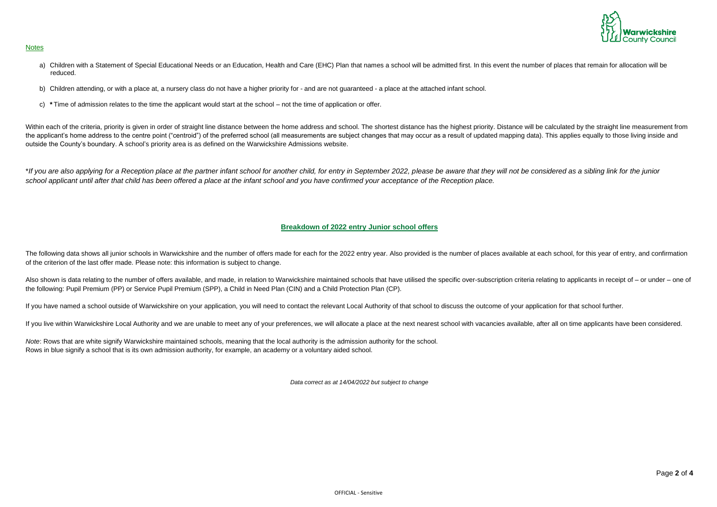

### **Notes**

- a) Children with a Statement of Special Educational Needs or an Education, Health and Care (EHC) Plan that names a school will be admitted first. In this event the number of places that remain for allocation will be reduced.
- b) Children attending, or with a place at, a nursery class do not have a higher priority for and are not guaranteed a place at the attached infant school.
- c) **\*** Time of admission relates to the time the applicant would start at the school not the time of application or offer.

Within each of the criteria, priority is given in order of straight line distance between the home address and school. The shortest distance has the highest priority. Distance will be calculated by the straight line measur the applicant's home address to the centre point ("centroid") of the preferred school (all measurements are subject changes that may occur as a result of updated mapping data). This applies equally to those living inside and outside the County's boundary. A school's priority area is as defined on the Warwickshire Admissions website.

The following data shows all junior schools in Warwickshire and the number of offers made for each for the 2022 entry year. Also provided is the number of places available at each school, for this year of entry, and confir of the criterion of the last offer made. Please note: this information is subject to change.

Also shown is data relating to the number of offers available, and made, in relation to Warwickshire maintained schools that have utilised the specific over-subscription criteria relating to applicants in receipt of – or u the following: Pupil Premium (PP) or Service Pupil Premium (SPP), a Child in Need Plan (CIN) and a Child Protection Plan (CP).

\**If you are also applying for a Reception place at the partner infant school for another child, for entry in September 2022, please be aware that they will not be considered as a sibling link for the junior school applicant until after that child has been offered a place at the infant school and you have confirmed your acceptance of the Reception place.*

*Note*: Rows that are white signify Warwickshire maintained schools, meaning that the local authority is the admission authority for the school. Rows in blue signify a school that is its own admission authority, for example, an academy or a voluntary aided school.

## **Breakdown of 2022 entry Junior school offers**

If you have named a school outside of Warwickshire on your application, you will need to contact the relevant Local Authority of that school to discuss the outcome of your application for that school further.

If you live within Warwickshire Local Authority and we are unable to meet any of your preferences, we will allocate a place at the next nearest school with vacancies available, after all on time applicants have been consid

*Data correct as at 14/04/2022 but subject to change*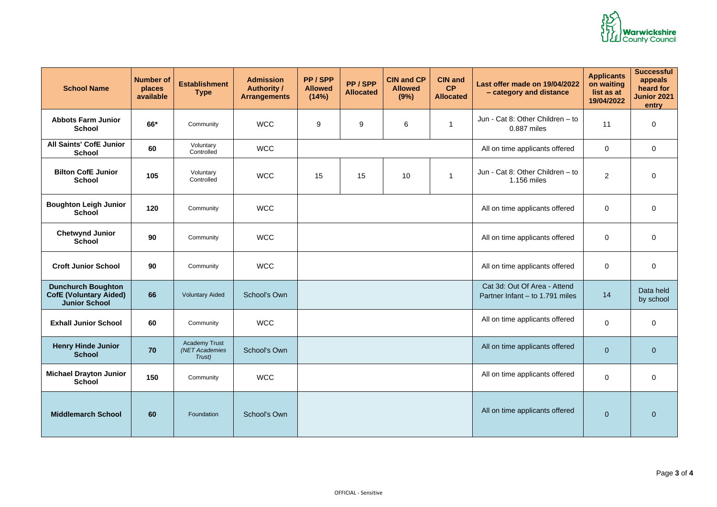

| <b>School Name</b>                                                                 | <b>Number of</b><br>places<br>available | <b>Establishment</b><br><b>Type</b>              | <b>Admission</b><br><b>Authority /</b><br><b>Arrangements</b> | PP/SPP<br><b>Allowed</b><br>(14%) | PP/SPP<br><b>Allocated</b> | <b>CIN and CP</b><br><b>Allowed</b><br>(9%) | <b>CIN and</b><br><b>CP</b><br><b>Allocated</b> | Last offer made on 19/04/2022<br>- category and distance        | <b>Applicants</b><br>on waiting<br>list as at<br>19/04/2022 | <b>Successful</b><br>appeals<br>heard for<br>Junior 2021<br>entry |
|------------------------------------------------------------------------------------|-----------------------------------------|--------------------------------------------------|---------------------------------------------------------------|-----------------------------------|----------------------------|---------------------------------------------|-------------------------------------------------|-----------------------------------------------------------------|-------------------------------------------------------------|-------------------------------------------------------------------|
| <b>Abbots Farm Junior</b><br><b>School</b>                                         | $66*$                                   | Community                                        | <b>WCC</b>                                                    | $9\,$                             | 9                          | 6                                           |                                                 | Jun - Cat 8: Other Children - to<br>0.887 miles                 | 11                                                          | $\overline{0}$                                                    |
| <b>All Saints' CofE Junior</b><br><b>School</b>                                    | 60                                      | Voluntary<br>Controlled                          | <b>WCC</b>                                                    |                                   |                            |                                             |                                                 | All on time applicants offered                                  | $\overline{0}$                                              | $\mathbf 0$                                                       |
| <b>Bilton CofE Junior</b><br><b>School</b>                                         | 105                                     | Voluntary<br>Controlled                          | <b>WCC</b>                                                    | 15                                | 15                         | 10                                          | -1                                              | Jun - Cat 8: Other Children - to<br>1.156 miles                 | $\overline{2}$                                              | $\mathbf 0$                                                       |
| <b>Boughton Leigh Junior</b><br><b>School</b>                                      | 120                                     | Community                                        | <b>WCC</b>                                                    |                                   |                            |                                             |                                                 | All on time applicants offered                                  | $\overline{0}$                                              | $\overline{0}$                                                    |
| <b>Chetwynd Junior</b><br><b>School</b>                                            | 90                                      | Community                                        | <b>WCC</b>                                                    |                                   |                            |                                             |                                                 | All on time applicants offered                                  | $\mathbf 0$                                                 | $\overline{0}$                                                    |
| <b>Croft Junior School</b>                                                         | 90                                      | Community                                        | <b>WCC</b>                                                    |                                   |                            |                                             |                                                 | All on time applicants offered                                  | $\mathbf 0$                                                 | $\overline{0}$                                                    |
| <b>Dunchurch Boughton</b><br><b>CofE (Voluntary Aided)</b><br><b>Junior School</b> | 66                                      | <b>Voluntary Aided</b>                           | School's Own                                                  |                                   |                            |                                             |                                                 | Cat 3d: Out Of Area - Attend<br>Partner Infant - to 1.791 miles | 14                                                          | Data held<br>by school                                            |
| <b>Exhall Junior School</b>                                                        | 60                                      | Community                                        | <b>WCC</b>                                                    |                                   |                            |                                             |                                                 | All on time applicants offered                                  | $\overline{0}$                                              | $\mathbf 0$                                                       |
| <b>Henry Hinde Junior</b><br><b>School</b>                                         | 70                                      | <b>Academy Trust</b><br>(NET Academies<br>Trust) | School's Own                                                  |                                   |                            |                                             |                                                 | All on time applicants offered                                  | $\overline{0}$                                              | $\overline{0}$                                                    |
| <b>Michael Drayton Junior</b><br><b>School</b>                                     | 150                                     | Community                                        | <b>WCC</b>                                                    |                                   |                            |                                             |                                                 | All on time applicants offered                                  | $\overline{0}$                                              | $\overline{0}$                                                    |
| <b>Middlemarch School</b>                                                          | 60                                      | Foundation                                       | <b>School's Own</b>                                           |                                   |                            |                                             |                                                 | All on time applicants offered                                  | $\overline{0}$                                              | $\overline{0}$                                                    |